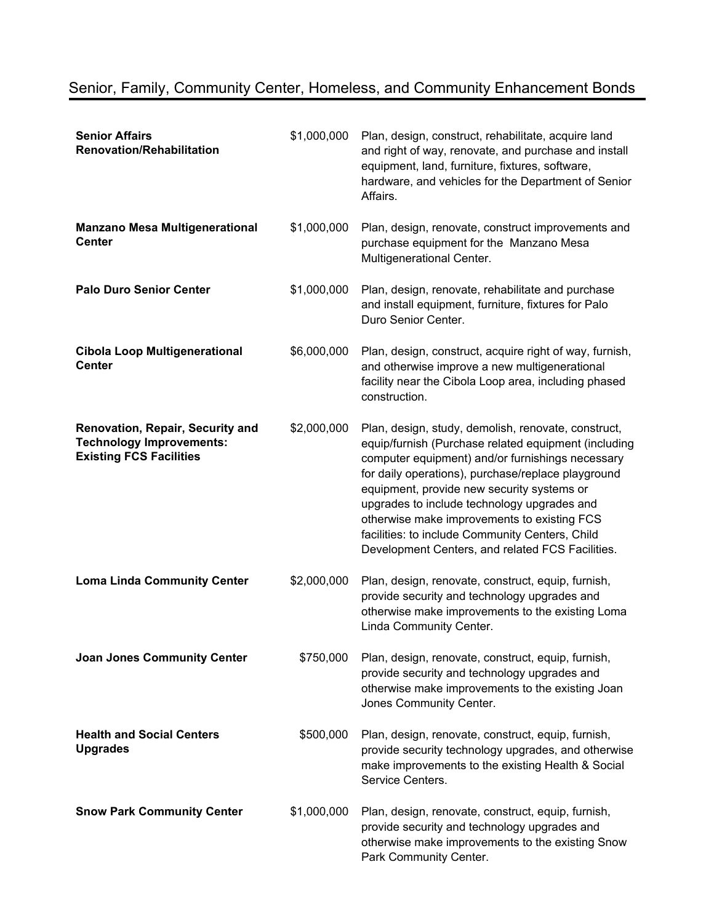| <b>Senior Affairs</b><br><b>Renovation/Rehabilitation</b>                                             | \$1,000,000 | Plan, design, construct, rehabilitate, acquire land<br>and right of way, renovate, and purchase and install<br>equipment, land, furniture, fixtures, software,<br>hardware, and vehicles for the Department of Senior<br>Affairs.                                                                                                                                                                                                                                        |
|-------------------------------------------------------------------------------------------------------|-------------|--------------------------------------------------------------------------------------------------------------------------------------------------------------------------------------------------------------------------------------------------------------------------------------------------------------------------------------------------------------------------------------------------------------------------------------------------------------------------|
| <b>Manzano Mesa Multigenerational</b><br><b>Center</b>                                                | \$1,000,000 | Plan, design, renovate, construct improvements and<br>purchase equipment for the Manzano Mesa<br>Multigenerational Center.                                                                                                                                                                                                                                                                                                                                               |
| <b>Palo Duro Senior Center</b>                                                                        | \$1,000,000 | Plan, design, renovate, rehabilitate and purchase<br>and install equipment, furniture, fixtures for Palo<br>Duro Senior Center.                                                                                                                                                                                                                                                                                                                                          |
| <b>Cibola Loop Multigenerational</b><br><b>Center</b>                                                 | \$6,000,000 | Plan, design, construct, acquire right of way, furnish,<br>and otherwise improve a new multigenerational<br>facility near the Cibola Loop area, including phased<br>construction.                                                                                                                                                                                                                                                                                        |
| Renovation, Repair, Security and<br><b>Technology Improvements:</b><br><b>Existing FCS Facilities</b> | \$2,000,000 | Plan, design, study, demolish, renovate, construct,<br>equip/furnish (Purchase related equipment (including<br>computer equipment) and/or furnishings necessary<br>for daily operations), purchase/replace playground<br>equipment, provide new security systems or<br>upgrades to include technology upgrades and<br>otherwise make improvements to existing FCS<br>facilities: to include Community Centers, Child<br>Development Centers, and related FCS Facilities. |
| <b>Loma Linda Community Center</b>                                                                    | \$2,000,000 | Plan, design, renovate, construct, equip, furnish,<br>provide security and technology upgrades and<br>otherwise make improvements to the existing Loma<br>Linda Community Center.                                                                                                                                                                                                                                                                                        |
| <b>Joan Jones Community Center</b>                                                                    | \$750,000   | Plan, design, renovate, construct, equip, furnish,<br>provide security and technology upgrades and<br>otherwise make improvements to the existing Joan<br>Jones Community Center.                                                                                                                                                                                                                                                                                        |
| <b>Health and Social Centers</b><br><b>Upgrades</b>                                                   | \$500,000   | Plan, design, renovate, construct, equip, furnish,<br>provide security technology upgrades, and otherwise<br>make improvements to the existing Health & Social<br>Service Centers.                                                                                                                                                                                                                                                                                       |
| <b>Snow Park Community Center</b>                                                                     | \$1,000,000 | Plan, design, renovate, construct, equip, furnish,<br>provide security and technology upgrades and<br>otherwise make improvements to the existing Snow<br>Park Community Center.                                                                                                                                                                                                                                                                                         |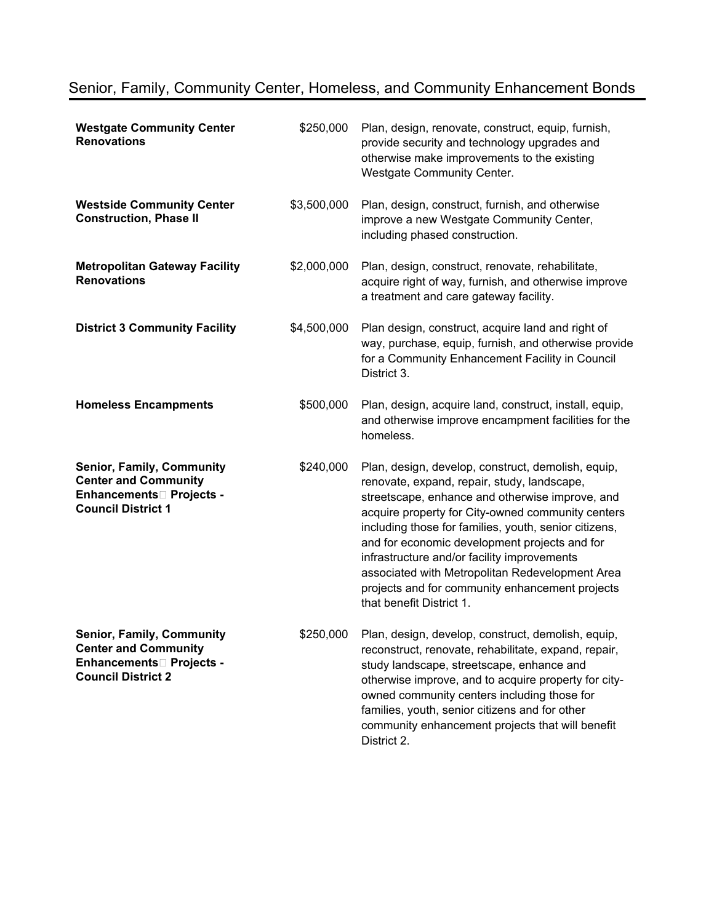| <b>Westgate Community Center</b><br><b>Renovations</b>                                                                                 | \$250,000   | Plan, design, renovate, construct, equip, furnish,<br>provide security and technology upgrades and<br>otherwise make improvements to the existing<br><b>Westgate Community Center.</b>                                                                                                                                                                                                                                                                                                               |
|----------------------------------------------------------------------------------------------------------------------------------------|-------------|------------------------------------------------------------------------------------------------------------------------------------------------------------------------------------------------------------------------------------------------------------------------------------------------------------------------------------------------------------------------------------------------------------------------------------------------------------------------------------------------------|
| <b>Westside Community Center</b><br><b>Construction, Phase II</b>                                                                      | \$3,500,000 | Plan, design, construct, furnish, and otherwise<br>improve a new Westgate Community Center,<br>including phased construction.                                                                                                                                                                                                                                                                                                                                                                        |
| <b>Metropolitan Gateway Facility</b><br><b>Renovations</b>                                                                             | \$2,000,000 | Plan, design, construct, renovate, rehabilitate,<br>acquire right of way, furnish, and otherwise improve<br>a treatment and care gateway facility.                                                                                                                                                                                                                                                                                                                                                   |
| <b>District 3 Community Facility</b>                                                                                                   | \$4,500,000 | Plan design, construct, acquire land and right of<br>way, purchase, equip, furnish, and otherwise provide<br>for a Community Enhancement Facility in Council<br>District 3.                                                                                                                                                                                                                                                                                                                          |
| <b>Homeless Encampments</b>                                                                                                            | \$500,000   | Plan, design, acquire land, construct, install, equip,<br>and otherwise improve encampment facilities for the<br>homeless.                                                                                                                                                                                                                                                                                                                                                                           |
| <b>Senior, Family, Community</b><br><b>Center and Community</b><br>Enhancements <sup>[1]</sup> Projects -<br><b>Council District 1</b> | \$240,000   | Plan, design, develop, construct, demolish, equip,<br>renovate, expand, repair, study, landscape,<br>streetscape, enhance and otherwise improve, and<br>acquire property for City-owned community centers<br>including those for families, youth, senior citizens,<br>and for economic development projects and for<br>infrastructure and/or facility improvements<br>associated with Metropolitan Redevelopment Area<br>projects and for community enhancement projects<br>that benefit District 1. |
| <b>Senior, Family, Community</b><br><b>Center and Community</b><br>Enhancements□ Projects -<br><b>Council District 2</b>               | \$250,000   | Plan, design, develop, construct, demolish, equip,<br>reconstruct, renovate, rehabilitate, expand, repair,<br>study landscape, streetscape, enhance and<br>otherwise improve, and to acquire property for city-<br>owned community centers including those for<br>families, youth, senior citizens and for other<br>community enhancement projects that will benefit<br>District 2.                                                                                                                  |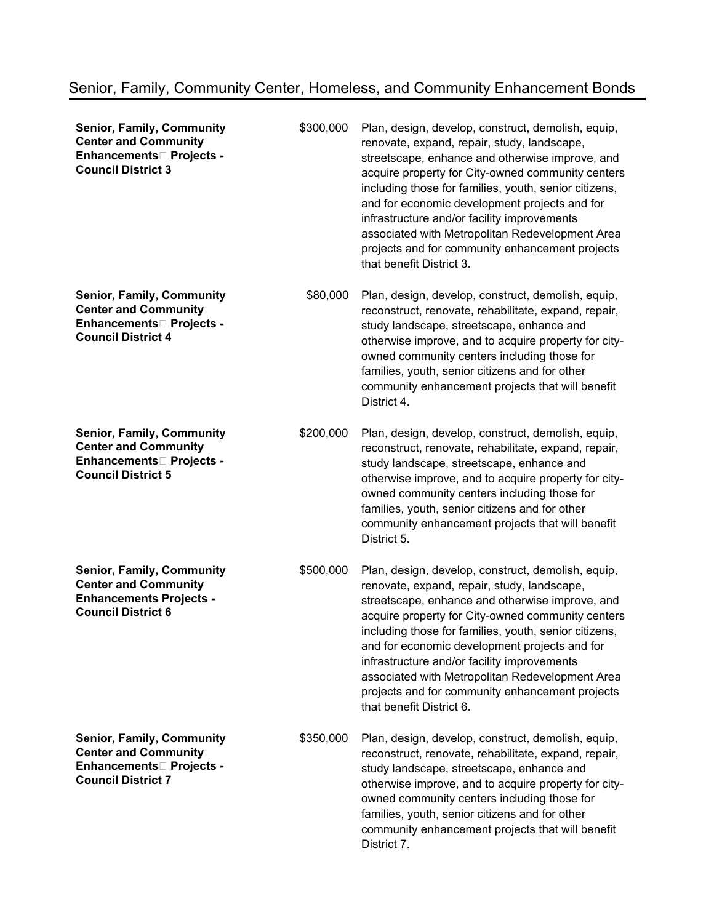| <b>Senior, Family, Community</b><br><b>Center and Community</b><br>Enhancements□ Projects -<br><b>Council District 3</b>               | \$300,000 | Plan, design, develop, construct, demolish, equip,<br>renovate, expand, repair, study, landscape,<br>streetscape, enhance and otherwise improve, and<br>acquire property for City-owned community centers<br>including those for families, youth, senior citizens,<br>and for economic development projects and for<br>infrastructure and/or facility improvements<br>associated with Metropolitan Redevelopment Area<br>projects and for community enhancement projects<br>that benefit District 3. |
|----------------------------------------------------------------------------------------------------------------------------------------|-----------|------------------------------------------------------------------------------------------------------------------------------------------------------------------------------------------------------------------------------------------------------------------------------------------------------------------------------------------------------------------------------------------------------------------------------------------------------------------------------------------------------|
| <b>Senior, Family, Community</b><br><b>Center and Community</b><br>Enhancements□ Projects -<br><b>Council District 4</b>               | \$80,000  | Plan, design, develop, construct, demolish, equip,<br>reconstruct, renovate, rehabilitate, expand, repair,<br>study landscape, streetscape, enhance and<br>otherwise improve, and to acquire property for city-<br>owned community centers including those for<br>families, youth, senior citizens and for other<br>community enhancement projects that will benefit<br>District 4.                                                                                                                  |
| <b>Senior, Family, Community</b><br><b>Center and Community</b><br>Enhancements□ Projects -<br><b>Council District 5</b>               | \$200,000 | Plan, design, develop, construct, demolish, equip,<br>reconstruct, renovate, rehabilitate, expand, repair,<br>study landscape, streetscape, enhance and<br>otherwise improve, and to acquire property for city-<br>owned community centers including those for<br>families, youth, senior citizens and for other<br>community enhancement projects that will benefit<br>District 5.                                                                                                                  |
| <b>Senior, Family, Community</b><br><b>Center and Community</b><br><b>Enhancements Projects -</b><br><b>Council District 6</b>         | \$500,000 | Plan, design, develop, construct, demolish, equip,<br>renovate, expand, repair, study, landscape,<br>streetscape, enhance and otherwise improve, and<br>acquire property for City-owned community centers<br>including those for families, youth, senior citizens,<br>and for economic development projects and for<br>infrastructure and/or facility improvements<br>associated with Metropolitan Redevelopment Area<br>projects and for community enhancement projects<br>that benefit District 6. |
| <b>Senior, Family, Community</b><br><b>Center and Community</b><br>Enhancements <sup>[1]</sup> Projects -<br><b>Council District 7</b> | \$350,000 | Plan, design, develop, construct, demolish, equip,<br>reconstruct, renovate, rehabilitate, expand, repair,<br>study landscape, streetscape, enhance and<br>otherwise improve, and to acquire property for city-<br>owned community centers including those for<br>families, youth, senior citizens and for other<br>community enhancement projects that will benefit<br>District 7.                                                                                                                  |